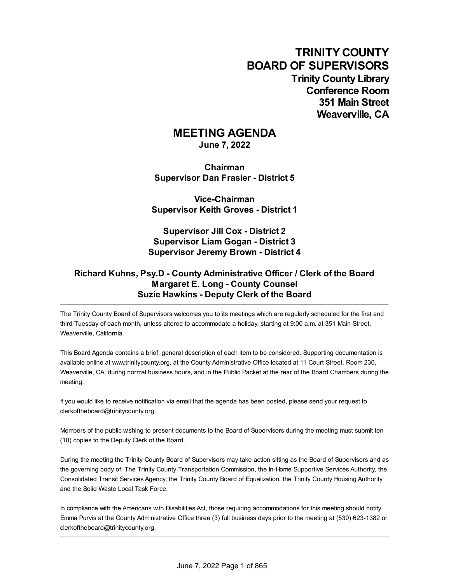**TRINITY COUNTY BOARD OF SUPERVISORS Trinity County Library Conference Room 351 Main Street Weaverville, CA**

## **MEETING AGENDA**

**June 7, 2022**

**Chairman Supervisor Dan Frasier - District 5**

**Vice-Chairman Supervisor Keith Groves - District 1**

**Supervisor Jill Cox - District 2 Supervisor Liam Gogan - District 3 Supervisor Jeremy Brown - District 4**

## **Richard Kuhns, Psy.D - County Administrative Officer / Clerk of the Board Margaret E. Long - County Counsel Suzie Hawkins - Deputy Clerk of the Board**

The Trinity County Board of Supervisors welcomes you to its meetings which are regularly scheduled for the first and third Tuesday of each month, unless altered to accommodate a holiday, starting at 9:00 a.m. at 351 Main Street, Weaverville, California.

This Board Agenda contains a brief, general description of each item to be considered. Supporting documentation is available online at [www.trinitycounty.org](http://www.trinitycounty.org), at the County Administrative Office located at 11 Court Street, Room 230, Weaverville, CA, during normal business hours, and in the Public Packet at the rear of the Board Chambers during the meeting.

If you would like to receive notification via email that the agenda has been posted, please send your request to [clerkoftheboard@trinitycounty.org](mailto:clerkoftheboard@trinitycounty.org).

Members of the public wishing to present documents to the Board of Supervisors during the meeting must submit ten (10) copies to the Deputy Clerk of the Board.

During the meeting the Trinity County Board of Supervisors may take action sitting as the Board of Supervisors and as the governing body of: The Trinity County Transportation Commission, the In-Home Supportive Services Authority, the Consolidated Transit Services Agency, the Trinity County Board of Equalization, the Trinity County Housing Authority and the Solid Waste Local Task Force.

In compliance with the Americans with Disabilities Act, those requiring accommodations for this meeting should notify Emma Purvis at the County Administrative Office three (3) full business days prior to the meeting at (530) 623-1382 or [clerkoftheboard@trinitycounty.org](mailto:clerkoftheboard@trinitycounty.org).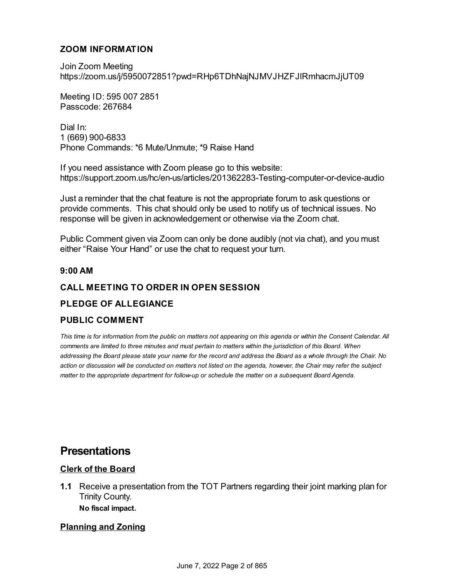## **ZOOM INFORMATION**

Join Zoom Meeting <https://zoom.us/j/5950072851?pwd=RHp6TDhNajNJMVJHZFJlRmhacmJjUT09>

Meeting ID: 595 007 2851 Passcode: 267684

Dial In: 1 (669) [900-6833](https://zoom.us/j/96022615025?pwd=c2toQVR5Wlpnem9xVVBDU0JISlAwdz09) Phone Commands: \*6 Mute/Unmute; \*9 Raise Hand

If you need assistance with Zoom please go to this website: <https://support.zoom.us/hc/en-us/articles/201362283-Testing-computer-or-device-audio>

Just a reminder that the chat feature is not the appropriate forum to ask questions or provide comments. This chat should only be used to notify us of technical issues. No response will be given in acknowledgement or otherwise via the Zoom chat.

Public Comment given via Zoom can only be done audibly (not via chat), and you must either "Raise Your Hand" or use the chat to request your turn.

#### **9:00 AM**

## **CALL MEETING TO ORDER IN OPEN SESSION**

## **PLEDGE OF ALLEGIANCE**

## **PUBLIC COMMENT**

This time is for information from the public on matters not appearing on this agenda or within the Consent Calendar. All comments are limited to three minutes and must pertain to matters within the jurisdiction of this Board. When addressing the Board please state your name for the record and address the Board as a whole through the Chair. No action or discussion will be conducted on matters not listed on the agenda, however, the Chair may refer the subject *matter to the appropriate department for follow-up or schedule the matter on a subsequent Board Agenda.*

# **Presentations**

## **Clerk of the Board**

**1.1** Receive a presentation from the TOT Partners regarding their joint marking plan for Trinity County. **No fiscal impact.**

## **Planning and Zoning**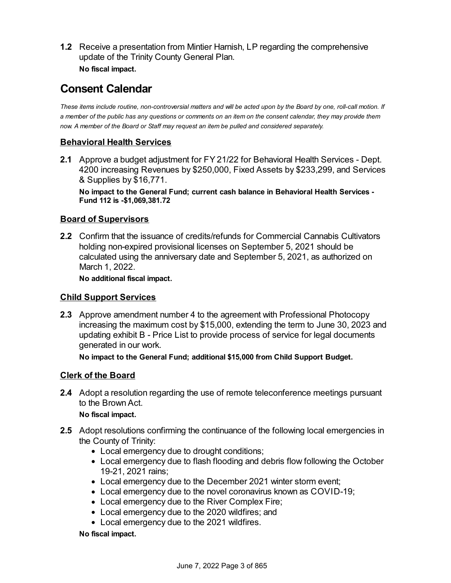**1.2** Receive a presentation from Mintier Harnish, LP regarding the comprehensive update of the Trinity County General Plan. **No fiscal impact.**

# **Consent Calendar**

These items include routine, non-controversial matters and will be acted upon by the Board by one, roll-call motion. If a member of the public has any questions or comments on an item on the consent calendar, they may provide them *now. A member of the Board or Staff may request an item be pulled and considered separately.*

## **Behavioral Health Services**

**2.1** Approve a budget adjustment for FY 21/22 for Behavioral Health Services - Dept. 4200 increasing Revenues by \$250,000, Fixed Assets by \$233,299, and Services & Supplies by \$16,771.

**No impact to the General Fund; current cash balance in Behavioral Health Services - Fund 112 is -\$1,069,381.72**

## **Board of Supervisors**

**2.2** Confirm that the issuance of credits/refunds for Commercial Cannabis Cultivators holding non-expired provisional licenses on September 5, 2021 should be calculated using the anniversary date and September 5, 2021, as authorized on March 1, 2022.

**No additional fiscal impact.**

## **Child Support Services**

**2.3** Approve amendment number 4 to the agreement with Professional Photocopy increasing the maximum cost by \$15,000, extending the term to June 30, 2023 and updating exhibit B - Price List to provide process of service for legal documents generated in our work.

**No impact to the General Fund; additional \$15,000 from Child Support Budget.**

## **Clerk of the Board**

**2.4** Adopt a resolution regarding the use of remote teleconference meetings pursuant to the Brown Act.

#### **No fiscal impact.**

- **2.5** Adopt resolutions confirming the continuance of the following local emergencies in the County of Trinity:
	- Local emergency due to drought conditions;
	- Local emergency due to flash flooding and debris flow following the October 19-21, 2021 rains;
	- Local emergency due to the December 2021 winter storm event;
	- Local emergency due to the novel coronavirus known as COVID-19;
	- Local emergency due to the River Complex Fire;
	- Local emergency due to the 2020 wildfires; and
	- Local emergency due to the 2021 wildfires.

**No fiscal impact.**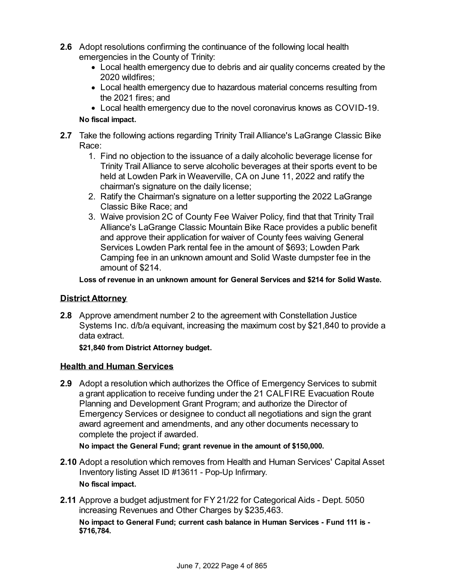- **2.6** Adopt resolutions confirming the continuance of the following local health emergencies in the County of Trinity:
	- Local health emergency due to debris and air quality concerns created by the 2020 wildfires;
	- Local health emergency due to hazardous material concerns resulting from the 2021 fires; and
	- Local health emergency due to the novel coronavirus knows as COVID-19.

#### **No fiscal impact.**

- **2.7** Take the following actions regarding Trinity Trail Alliance's LaGrange Classic Bike Race:
	- 1. Find no objection to the issuance of a daily alcoholic beverage license for Trinity Trail Alliance to serve alcoholic beverages at their sports event to be held at Lowden Park in Weaverville, CA on June 11, 2022 and ratify the chairman's signature on the daily license;
	- 2. Ratify the Chairman's signature on a letter supporting the 2022 LaGrange Classic Bike Race; and
	- 3. Waive provision 2C of County Fee Waiver Policy, find that that Trinity Trail Alliance's LaGrange Classic Mountain Bike Race provides a public benefit and approve their application for waiver of County fees waiving General Services Lowden Park rental fee in the amount of \$693; Lowden Park Camping fee in an unknown amount and Solid Waste dumpster fee in the amount of \$214.

**Loss of revenue in an unknown amount for General Services and \$214 for Solid Waste.**

#### **District Attorney**

**2.8** Approve amendment number 2 to the agreement with Constellation Justice Systems Inc. d/b/a equivant, increasing the maximum cost by \$21,840 to provide a data extract.

**\$21,840 from District Attorney budget.**

#### **Health and Human Services**

**2.9** Adopt a resolution which authorizes the Office of Emergency Services to submit a grant application to receive funding under the 21 CALFIRE Evacuation Route Planning and Development Grant Program; and authorize the Director of Emergency Services or designee to conduct all negotiations and sign the grant award agreement and amendments, and any other documents necessary to complete the project if awarded.

**No impact the General Fund; grant revenue in the amount of \$150,000.**

- **2.10** Adopt a resolution which removes from Health and Human Services' Capital Asset Inventory listing Asset ID #13611 - Pop-Up Infirmary. **No fiscal impact.**
- **2.11** Approve a budget adjustment for FY 21/22 for Categorical Aids Dept. 5050 increasing Revenues and Other Charges by \$235,463.

**No impact to General Fund; current cash balance in Human Services - Fund 111 is - \$716,784.**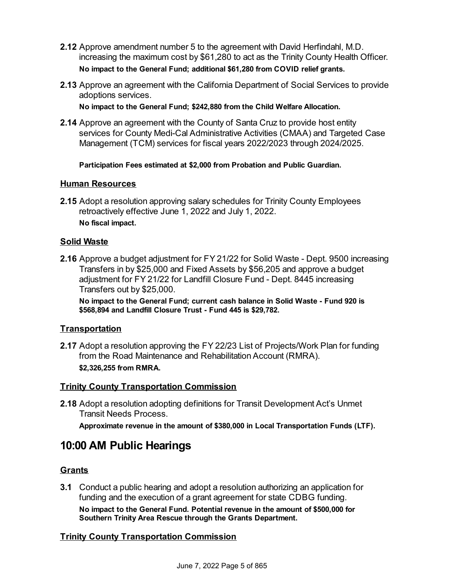- **2.12** Approve amendment number 5 to the agreement with David Herfindahl, M.D. increasing the maximum cost by \$61,280 to act as the Trinity County Health Officer. **No impact to the General Fund; additional \$61,280 from COVID relief grants.**
- **2.13** Approve an agreement with the California Department of Social Services to provide adoptions services.

**No impact to the General Fund; \$242,880 from the Child Welfare Allocation.**

**2.14** Approve an agreement with the County of Santa Cruz to provide host entity services for County Medi-Cal Administrative Activities (CMAA) and Targeted Case Management (TCM) services for fiscal years 2022/2023 through 2024/2025.

**Participation Fees estimated at \$2,000 from Probation and Public Guardian.**

#### **Human Resources**

**2.15** Adopt a resolution approving salary schedules for Trinity County Employees retroactively effective June 1, 2022 and July 1, 2022. **No fiscal impact.**

#### **Solid Waste**

**2.16** Approve a budget adjustment for FY 21/22 for Solid Waste - Dept. 9500 increasing Transfers in by \$25,000 and Fixed Assets by \$56,205 and approve a budget adjustment for FY 21/22 for Landfill Closure Fund - Dept. 8445 increasing Transfers out by \$25,000.

**No impact to the General Fund; current cash balance in Solid Waste - Fund 920 is \$568,894 and Landfill Closure Trust - Fund 445 is \$29,782.**

#### **Transportation**

**2.17** Adopt a resolution approving the FY 22/23 List of Projects/Work Plan for funding from the Road Maintenance and Rehabilitation Account (RMRA). **\$2,326,255 from RMRA.**

## **Trinity County Transportation Commission**

**2.18** Adopt a resolution adopting definitions for Transit Development Act's Unmet Transit Needs Process.

**Approximate revenue in the amount of \$380,000 in Local Transportation Funds (LTF).**

# **10:00 AM Public Hearings**

## **Grants**

**3.1** Conduct a public hearing and adopt a resolution authorizing an application for funding and the execution of a grant agreement for state CDBG funding. **No impact to the General Fund. Potential revenue in the amount of \$500,000 for Southern Trinity Area Rescue through the Grants Department.**

#### **Trinity County Transportation Commission**